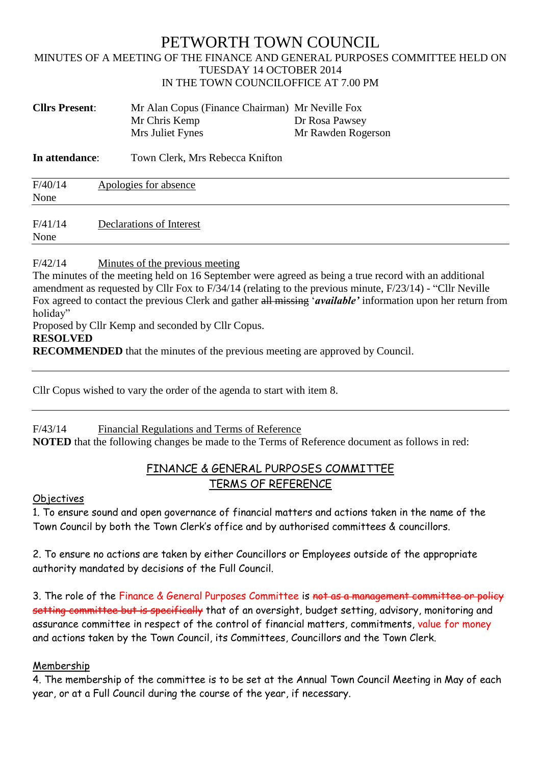## PETWORTH TOWN COUNCIL MINUTES OF A MEETING OF THE FINANCE AND GENERAL PURPOSES COMMITTEE HELD ON TUESDAY 14 OCTOBER 2014 IN THE TOWN COUNCILOFFICE AT 7.00 PM

| <b>Cllrs Present:</b> | Mr Alan Copus (Finance Chairman) Mr Neville Fox |                    |
|-----------------------|-------------------------------------------------|--------------------|
|                       | Mr Chris Kemp                                   | Dr Rosa Pawsey     |
|                       | Mrs Juliet Fynes                                | Mr Rawden Rogerson |

**In attendance:** Town Clerk, Mrs Rebecca Knifton

| F/40/14<br>None | Apologies for absence    |
|-----------------|--------------------------|
| F/41/14<br>None | Declarations of Interest |

#### F/42/14 Minutes of the previous meeting

The minutes of the meeting held on 16 September were agreed as being a true record with an additional amendment as requested by Cllr Fox to F/34/14 (relating to the previous minute, F/23/14) - "Cllr Neville Fox agreed to contact the previous Clerk and gather all missing '*available'* information upon her return from holiday"

Proposed by Cllr Kemp and seconded by Cllr Copus.

#### **RESOLVED**

**RECOMMENDED** that the minutes of the previous meeting are approved by Council.

Cllr Copus wished to vary the order of the agenda to start with item 8.

### F/43/14 Financial Regulations and Terms of Reference

**NOTED** that the following changes be made to the Terms of Reference document as follows in red:

## FINANCE & GENERAL PURPOSES COMMITTEE TERMS OF REFERENCE

#### **Objectives**

1. To ensure sound and open governance of financial matters and actions taken in the name of the Town Council by both the Town Clerk's office and by authorised committees & councillors.

2. To ensure no actions are taken by either Councillors or Employees outside of the appropriate authority mandated by decisions of the Full Council.

3. The role of the Finance & General Purposes Committee is not as a management committee or policy setting committee but is specifically that of an oversight, budget setting, advisory, monitoring and assurance committee in respect of the control of financial matters, commitments, value for money and actions taken by the Town Council, its Committees, Councillors and the Town Clerk.

### Membership

4. The membership of the committee is to be set at the Annual Town Council Meeting in May of each year, or at a Full Council during the course of the year, if necessary.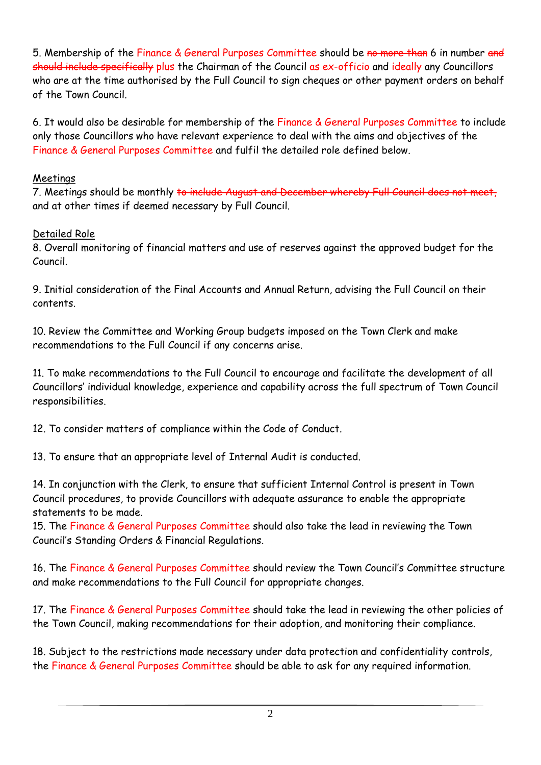5. Membership of the Finance & General Purposes Committee should be no more than 6 in number and should include specifically plus the Chairman of the Council as ex-officio and ideally any Councillors who are at the time authorised by the Full Council to sign cheques or other payment orders on behalf of the Town Council.

6. It would also be desirable for membership of the Finance & General Purposes Committee to include only those Councillors who have relevant experience to deal with the aims and objectives of the Finance & General Purposes Committee and fulfil the detailed role defined below.

## Meetings

7. Meetings should be monthly to include August and December whereby and at other times if deemed necessary by Full Council.

# Detailed Role

8. Overall monitoring of financial matters and use of reserves against the approved budget for the Council.

9. Initial consideration of the Final Accounts and Annual Return, advising the Full Council on their contents.

10. Review the Committee and Working Group budgets imposed on the Town Clerk and make recommendations to the Full Council if any concerns arise.

11. To make recommendations to the Full Council to encourage and facilitate the development of all Councillors' individual knowledge, experience and capability across the full spectrum of Town Council responsibilities.

12. To consider matters of compliance within the Code of Conduct.

13. To ensure that an appropriate level of Internal Audit is conducted.

14. In conjunction with the Clerk, to ensure that sufficient Internal Control is present in Town Council procedures, to provide Councillors with adequate assurance to enable the appropriate statements to be made.

15. The Finance & General Purposes Committee should also take the lead in reviewing the Town Council's Standing Orders & Financial Regulations.

16. The Finance & General Purposes Committee should review the Town Council's Committee structure and make recommendations to the Full Council for appropriate changes.

17. The Finance & General Purposes Committee should take the lead in reviewing the other policies of the Town Council, making recommendations for their adoption, and monitoring their compliance.

18. Subject to the restrictions made necessary under data protection and confidentiality controls, the Finance & General Purposes Committee should be able to ask for any required information.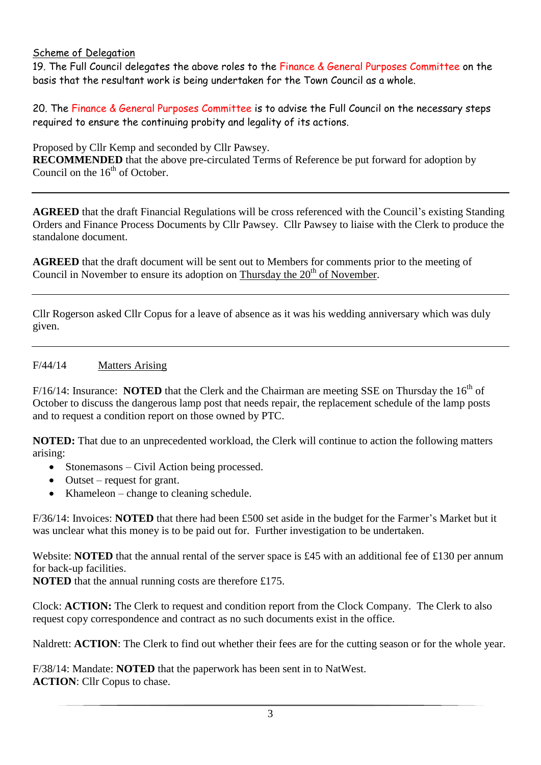### Scheme of Delegation

19. The Full Council delegates the above roles to the Finance & General Purposes Committee on the basis that the resultant work is being undertaken for the Town Council as a whole.

20. The Finance & General Purposes Committee is to advise the Full Council on the necessary steps required to ensure the continuing probity and legality of its actions.

Proposed by Cllr Kemp and seconded by Cllr Pawsey.

**RECOMMENDED** that the above pre-circulated Terms of Reference be put forward for adoption by Council on the  $16<sup>th</sup>$  of October.

**AGREED** that the draft Financial Regulations will be cross referenced with the Council's existing Standing Orders and Finance Process Documents by Cllr Pawsey. Cllr Pawsey to liaise with the Clerk to produce the standalone document.

**AGREED** that the draft document will be sent out to Members for comments prior to the meeting of Council in November to ensure its adoption on Thursday the  $20<sup>th</sup>$  of November.

Cllr Rogerson asked Cllr Copus for a leave of absence as it was his wedding anniversary which was duly given.

### F/44/14 Matters Arising

F/16/14: Insurance: **NOTED** that the Clerk and the Chairman are meeting SSE on Thursday the 16<sup>th</sup> of October to discuss the dangerous lamp post that needs repair, the replacement schedule of the lamp posts and to request a condition report on those owned by PTC.

**NOTED:** That due to an unprecedented workload, the Clerk will continue to action the following matters arising:

- Stonemasons Civil Action being processed.
- Outset request for grant.
- Khameleon change to cleaning schedule.

F/36/14: Invoices: **NOTED** that there had been £500 set aside in the budget for the Farmer's Market but it was unclear what this money is to be paid out for. Further investigation to be undertaken.

Website: **NOTED** that the annual rental of the server space is £45 with an additional fee of £130 per annum for back-up facilities.

**NOTED** that the annual running costs are therefore £175.

Clock: **ACTION:** The Clerk to request and condition report from the Clock Company. The Clerk to also request copy correspondence and contract as no such documents exist in the office.

Naldrett: **ACTION**: The Clerk to find out whether their fees are for the cutting season or for the whole year.

F/38/14: Mandate: **NOTED** that the paperwork has been sent in to NatWest. **ACTION**: Cllr Copus to chase.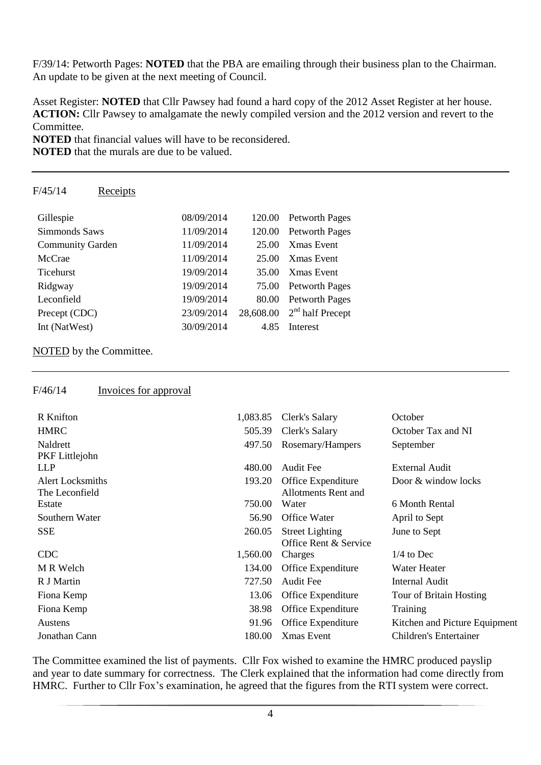F/39/14: Petworth Pages: **NOTED** that the PBA are emailing through their business plan to the Chairman. An update to be given at the next meeting of Council.

Asset Register: **NOTED** that Cllr Pawsey had found a hard copy of the 2012 Asset Register at her house. **ACTION:** Cllr Pawsey to amalgamate the newly compiled version and the 2012 version and revert to the Committee.

**NOTED** that financial values will have to be reconsidered.

**NOTED** that the murals are due to be valued.

## F/45/14 Receipts

| Gillespie               | 08/09/2014 | 120.00    | <b>Petworth Pages</b> |
|-------------------------|------------|-----------|-----------------------|
| Simmonds Saws           | 11/09/2014 | 120.00    | <b>Petworth Pages</b> |
| <b>Community Garden</b> | 11/09/2014 | 25.00     | <b>Xmas</b> Event     |
| McCrae                  | 11/09/2014 | 25.00     | <b>Xmas</b> Event     |
| Ticehurst               | 19/09/2014 | 35.00     | <b>X</b> mas Event    |
| Ridgway                 | 19/09/2014 | 75.00     | <b>Petworth Pages</b> |
| Leconfield              | 19/09/2014 | 80.00     | <b>Petworth Pages</b> |
| Precept (CDC)           | 23/09/2014 | 28,608.00 | $2nd$ half Precept    |
| Int (NatWest)           | 30/09/2014 | 4.85      | Interest              |

### NOTED by the Committee.

### F/46/14 Invoices for approval

| R Knifton        | 1,083.85 | Clerk's Salary             | October                       |
|------------------|----------|----------------------------|-------------------------------|
| <b>HMRC</b>      | 505.39   | Clerk's Salary             | October Tax and NI            |
| Naldrett         | 497.50   | Rosemary/Hampers           | September                     |
| PKF Littlejohn   |          |                            |                               |
| <b>LLP</b>       | 480.00   | Audit Fee                  | <b>External Audit</b>         |
| Alert Locksmiths | 193.20   | Office Expenditure         | Door & window locks           |
| The Leconfield   |          | <b>Allotments Rent and</b> |                               |
| Estate           | 750.00   | Water                      | 6 Month Rental                |
| Southern Water   | 56.90    | Office Water               | April to Sept                 |
| <b>SSE</b>       | 260.05   | <b>Street Lighting</b>     | June to Sept                  |
|                  |          | Office Rent & Service      |                               |
| <b>CDC</b>       | 1,560.00 | Charges                    | $1/4$ to Dec                  |
| M R Welch        | 134.00   | Office Expenditure         | Water Heater                  |
| R J Martin       | 727.50   | Audit Fee                  | Internal Audit                |
| Fiona Kemp       | 13.06    | Office Expenditure         | Tour of Britain Hosting       |
| Fiona Kemp       | 38.98    | Office Expenditure         | Training                      |
| Austens          | 91.96    | Office Expenditure         | Kitchen and Picture Equipment |
| Jonathan Cann    | 180.00   | Xmas Event                 | <b>Children's Entertainer</b> |
|                  |          |                            |                               |

The Committee examined the list of payments. Cllr Fox wished to examine the HMRC produced payslip and year to date summary for correctness. The Clerk explained that the information had come directly from HMRC. Further to Cllr Fox's examination, he agreed that the figures from the RTI system were correct.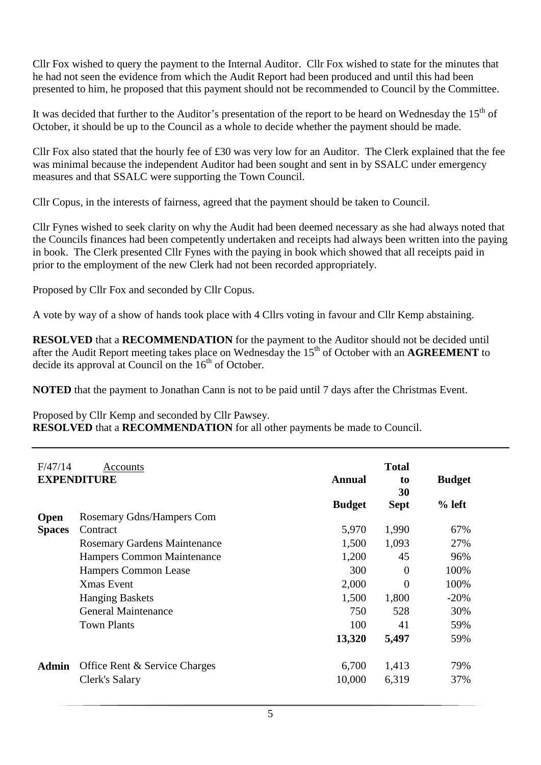Cllr Fox wished to query the payment to the Internal Auditor. Cllr Fox wished to state for the minutes that he had not seen the evidence from which the Audit Report had been produced and until this had been presented to him, he proposed that this payment should not be recommended to Council by the Committee.

It was decided that further to the Auditor's presentation of the report to be heard on Wednesday the  $15<sup>th</sup>$  of October, it should be up to the Council as a whole to decide whether the payment should be made.

Cllr Fox also stated that the hourly fee of £30 was very low for an Auditor. The Clerk explained that the fee was minimal because the independent Auditor had been sought and sent in by SSALC under emergency measures and that SSALC were supporting the Town Council.

Cllr Copus, in the interests of fairness, agreed that the payment should be taken to Council.

Cllr Fynes wished to seek clarity on why the Audit had been deemed necessary as she had always noted that the Councils finances had been competently undertaken and receipts had always been written into the paying in book. The Clerk presented Cllr Fynes with the paying in book which showed that all receipts paid in prior to the employment of the new Clerk had not been recorded appropriately.

Proposed by Cllr Fox and seconded by Cllr Copus.

A vote by way of a show of hands took place with 4 Cllrs voting in favour and Cllr Kemp abstaining.

**RESOLVED** that a **RECOMMENDATION** for the payment to the Auditor should not be decided until after the Audit Report meeting takes place on Wednesday the 15<sup>th</sup> of October with an **AGREEMENT** to decide its approval at Council on the  $16<sup>th</sup>$  of October.

**NOTED** that the payment to Jonathan Cann is not to be paid until 7 days after the Christmas Event.

Proposed by Cllr Kemp and seconded by Cllr Pawsey.

**RESOLVED** that a **RECOMMENDATION** for all other payments be made to Council.

| F/47/14            | Accounts                            |               | <b>Total</b> |               |
|--------------------|-------------------------------------|---------------|--------------|---------------|
| <b>EXPENDITURE</b> |                                     | <b>Annual</b> | to<br>30     | <b>Budget</b> |
|                    |                                     | <b>Budget</b> | <b>Sept</b>  | $%$ left      |
| <b>Open</b>        | Rosemary Gdns/Hampers Com           |               |              |               |
| <b>Spaces</b>      | Contract                            | 5,970         | 1,990        | 67%           |
|                    | <b>Rosemary Gardens Maintenance</b> | 1,500         | 1,093        | 27%           |
|                    | Hampers Common Maintenance          | 1,200         | 45           | 96%           |
|                    | <b>Hampers Common Lease</b>         | 300           | $\Omega$     | 100%          |
|                    | <b>Xmas Event</b>                   | 2,000         | $\theta$     | 100%          |
|                    | <b>Hanging Baskets</b>              | 1,500         | 1,800        | $-20%$        |
|                    | General Maintenance                 | 750           | 528          | 30%           |
|                    | <b>Town Plants</b>                  | 100           | 41           | 59%           |
|                    |                                     | 13,320        | 5,497        | 59%           |
| <b>Admin</b>       | Office Rent & Service Charges       | 6,700         | 1,413        | 79%           |
|                    | Clerk's Salary                      | 10,000        | 6,319        | 37%           |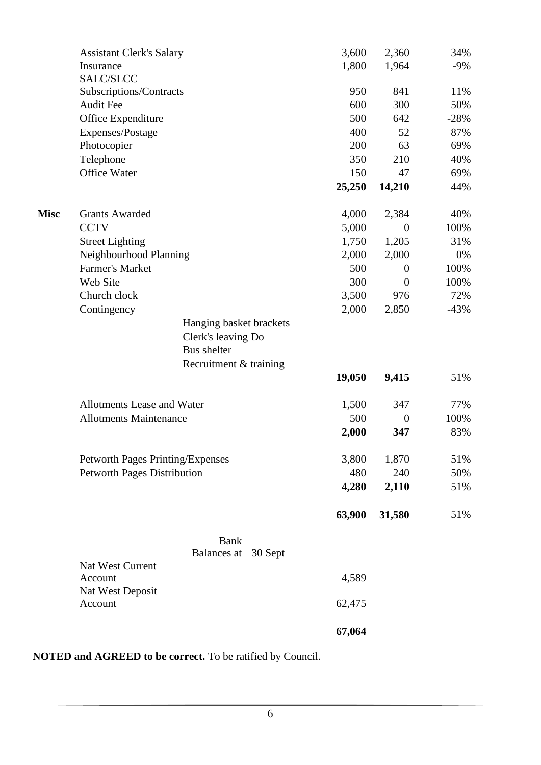|             | <b>Assistant Clerk's Salary</b>            | 3,600  | 2,360            | 34%    |
|-------------|--------------------------------------------|--------|------------------|--------|
|             | Insurance                                  | 1,800  | 1,964            | $-9\%$ |
|             | SALC/SLCC                                  |        |                  |        |
|             | Subscriptions/Contracts                    | 950    | 841              | 11%    |
|             | <b>Audit Fee</b>                           | 600    | 300              | 50%    |
|             | Office Expenditure                         | 500    | 642              | $-28%$ |
|             | Expenses/Postage                           | 400    | 52               | 87%    |
|             | Photocopier                                | 200    | 63               | 69%    |
|             | Telephone                                  | 350    | 210              | 40%    |
|             | Office Water                               | 150    | 47               | 69%    |
|             |                                            | 25,250 | 14,210           | 44%    |
| <b>Misc</b> | <b>Grants Awarded</b>                      | 4,000  | 2,384            | 40%    |
|             | <b>CCTV</b>                                | 5,000  | $\theta$         | 100%   |
|             | <b>Street Lighting</b>                     | 1,750  | 1,205            | 31%    |
|             | Neighbourhood Planning                     | 2,000  | 2,000            | 0%     |
|             | <b>Farmer's Market</b>                     | 500    | $\overline{0}$   | 100%   |
|             | Web Site                                   | 300    | $\overline{0}$   | 100%   |
|             | Church clock                               | 3,500  | 976              | 72%    |
|             | Contingency                                | 2,000  | 2,850            | $-43%$ |
|             | Hanging basket brackets                    |        |                  |        |
|             | Clerk's leaving Do                         |        |                  |        |
|             | <b>Bus</b> shelter                         |        |                  |        |
|             | Recruitment & training                     |        |                  |        |
|             |                                            | 19,050 | 9,415            | 51%    |
|             | Allotments Lease and Water                 | 1,500  | 347              | 77%    |
|             | <b>Allotments Maintenance</b>              | 500    | $\boldsymbol{0}$ | 100%   |
|             |                                            | 2,000  | 347              | 83%    |
|             | Petworth Pages Printing/Expenses           | 3,800  | 1,870            | 51%    |
|             | <b>Petworth Pages Distribution</b>         | 480    | 240              | 50%    |
|             |                                            | 4,280  | 2,110            | 51%    |
|             |                                            | 63,900 | 31,580           | 51%    |
|             | <b>Bank</b>                                |        |                  |        |
|             | Balances at<br>30 Sept<br>Nat West Current |        |                  |        |
|             | Account                                    | 4,589  |                  |        |
|             | Nat West Deposit                           |        |                  |        |
|             | Account                                    | 62,475 |                  |        |
|             |                                            | 67,064 |                  |        |

**NOTED and AGREED to be correct.** To be ratified by Council.